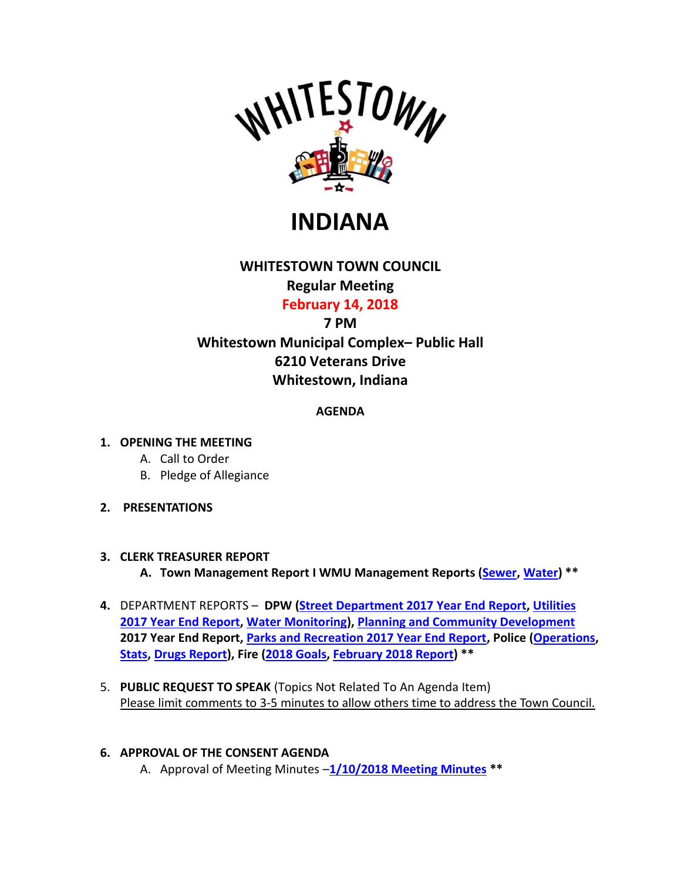

**INDIANA**

# **WHITESTOWN TOWN COUNCIL**

# **Regular Meeting**

**February 14, 2018**

## **7 PM**

**Whitestown Municipal Complex– Public Hall 6210 Veterans Drive Whitestown, Indiana**

## **AGENDA**

#### **1. OPENING THE MEETING**

- A. Call to Order
- B. Pledge of Allegiance
- **2. PRESENTATIONS**

#### **3. CLERK TREASURER REPORT**

**A. Town Management Report I WMU Management Reports [\(Sewer,](http://whitestown.in.gov/vertical/sites/%7BB8BE8AC3-9DE8-4247-BCB0-1173F48CC7C3%7D/uploads/WMU_Management_Report_-_December_(Sewer).pdf) [Water\)](http://whitestown.in.gov/vertical/sites/%7BB8BE8AC3-9DE8-4247-BCB0-1173F48CC7C3%7D/uploads/WMU_Management_Report_-_December_(Water).pdf) \*\***

- **4.** DEPARTMENT REPORTS **DPW [\(Street Department 2017 Year End](http://whitestown.in.gov/vertical/sites/%7BB8BE8AC3-9DE8-4247-BCB0-1173F48CC7C3%7D/uploads/Annual_Report-_Streets_2017.pdf) Report, [Utilities](http://whitestown.in.gov/vertical/sites/%7BB8BE8AC3-9DE8-4247-BCB0-1173F48CC7C3%7D/uploads/Utility_Year_End_Summary_for_2017.pdf)  [2017 Year End](http://whitestown.in.gov/vertical/sites/%7BB8BE8AC3-9DE8-4247-BCB0-1173F48CC7C3%7D/uploads/Utility_Year_End_Summary_for_2017.pdf) Report[, Water Monitoring\)](http://whitestown.in.gov/vertical/sites/%7BB8BE8AC3-9DE8-4247-BCB0-1173F48CC7C3%7D/uploads/IN5206014_1-2018.pdf), [Planning and Community Development](http://whitestown.in.gov/vertical/sites/%7BB8BE8AC3-9DE8-4247-BCB0-1173F48CC7C3%7D/uploads/2017_Planning_and_Building_Annual_Report.pdf) 2017 Year End Report[, Parks and Recreation 2017 Year End Report,](http://whitestown.in.gov/vertical/sites/%7BB8BE8AC3-9DE8-4247-BCB0-1173F48CC7C3%7D/uploads/2017_Year_End.pdf) Police [\(Operations,](http://whitestown.in.gov/vertical/sites/%7BB8BE8AC3-9DE8-4247-BCB0-1173F48CC7C3%7D/uploads/WPD_-_TC_Rpt_2.2018.pdf) [Stats,](http://whitestown.in.gov/vertical/sites/%7BB8BE8AC3-9DE8-4247-BCB0-1173F48CC7C3%7D/uploads/WMPD_Statical_Data(8).pdf) [Drugs Report\)](http://whitestown.in.gov/vertical/sites/%7BB8BE8AC3-9DE8-4247-BCB0-1173F48CC7C3%7D/uploads/wmpd_drug_statics_2017(9).pdf), Fire [\(2018 Goals,](http://whitestown.in.gov/vertical/sites/%7BB8BE8AC3-9DE8-4247-BCB0-1173F48CC7C3%7D/uploads/2018_Goals.pdf) [February 2018 Report\)](http://whitestown.in.gov/vertical/sites/%7BB8BE8AC3-9DE8-4247-BCB0-1173F48CC7C3%7D/uploads/WFD_Monthly_Report_-_FEB18.pdf) \*\***
- 5. **PUBLIC REQUEST TO SPEAK** (Topics Not Related To An Agenda Item) Please limit comments to 3-5 minutes to allow others time to address the Town Council.

#### **6. APPROVAL OF THE CONSENT AGENDA**

A. Approval of Meeting Minutes –**1/10/2018 [Meeting Minutes](http://whitestown.in.gov/vertical/sites/%7BB8BE8AC3-9DE8-4247-BCB0-1173F48CC7C3%7D/uploads/1-10-18_Whitestown_Town_Council_Minutes.pdf) \*\***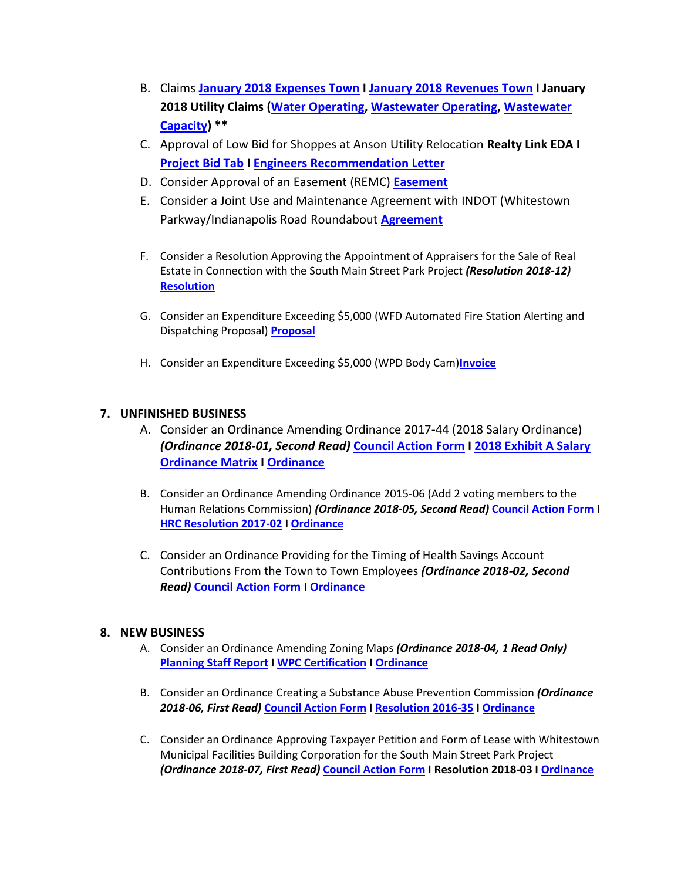- B. Claims **January 2018 [Expenses Town](http://whitestown.in.gov/vertical/sites/%7BB8BE8AC3-9DE8-4247-BCB0-1173F48CC7C3%7D/uploads/January_2018_Expense_Report.pdf) I January 2018 [Revenues Town](http://whitestown.in.gov/vertical/sites/%7BB8BE8AC3-9DE8-4247-BCB0-1173F48CC7C3%7D/uploads/January_2018_Revenue_Report.pdf) I January 2018 Utility Claims [\(Water Operating,](http://whitestown.in.gov/vertical/sites/%7BB8BE8AC3-9DE8-4247-BCB0-1173F48CC7C3%7D/uploads/Water_Operating_Claims_Docket_02.14.18.pdf) [Wastewater Operating,](http://whitestown.in.gov/vertical/sites/%7BB8BE8AC3-9DE8-4247-BCB0-1173F48CC7C3%7D/uploads/Sewer_Operating_Claims_Docket_02.14.18.pdf) [Wastewater](http://whitestown.in.gov/vertical/sites/%7BB8BE8AC3-9DE8-4247-BCB0-1173F48CC7C3%7D/uploads/Sewer_Capacity_Claims_Docket_02.14.18.pdf)  [Capacity\)](http://whitestown.in.gov/vertical/sites/%7BB8BE8AC3-9DE8-4247-BCB0-1173F48CC7C3%7D/uploads/Sewer_Capacity_Claims_Docket_02.14.18.pdf) \*\***
- C. Approval of Low Bid for Shoppes at Anson Utility Relocation **Realty Link EDA I [Project Bid Tab](http://whitestown.in.gov/vertical/sites/%7BB8BE8AC3-9DE8-4247-BCB0-1173F48CC7C3%7D/uploads/Shoppes_at_Whitestown_Utility_Relocation_Final_Bid_Tab_01.30.18(1).pdf) I [Engineers Recommendation Letter](http://whitestown.in.gov/vertical/sites/%7BB8BE8AC3-9DE8-4247-BCB0-1173F48CC7C3%7D/uploads/Shoppes_at_Whitestown_Utility_Relocation_Cert._Engineers_Recommendation_01.30.18.pdf)**
- D. Consider Approval of an Easement (REMC) **[Easement](http://whitestown.in.gov/vertical/sites/%7BB8BE8AC3-9DE8-4247-BCB0-1173F48CC7C3%7D/uploads/Whitestown_Pckg_Sent_2.5.18.pdf)**
- E. Consider a Joint Use and Maintenance Agreement with INDOT (Whitestown Parkway/Indianapolis Road Roundabout **[Agreement](http://whitestown.in.gov/vertical/sites/%7BB8BE8AC3-9DE8-4247-BCB0-1173F48CC7C3%7D/uploads/1536-Joint_Use_and_Maintenance_Agreement_for_Whitestown_Parkway_and_Indianapolis_Road_final_01182018.pdf)**
- F. Consider a Resolution Approving the Appointment of Appraisers for the Sale of Real Estate in Connection with the South Main Street Park Project *(Resolution 2018-12)* **[Resolution](http://whitestown.in.gov/vertical/sites/%7BB8BE8AC3-9DE8-4247-BCB0-1173F48CC7C3%7D/uploads/Whitestown_Town_Council_Resolution_No._2018-12_(Appraisers).pdf)**
- G. Consider an Expenditure Exceeding \$5,000 (WFD Automated Fire Station Alerting and Dispatching Proposal) **[Proposal](http://whitestown.in.gov/vertical/sites/%7BB8BE8AC3-9DE8-4247-BCB0-1173F48CC7C3%7D/uploads/Locution_Proposal.pdf)**
- H. Consider an Expenditure Exceeding \$5,000 (WPD Body Cam)**[Invoice](http://whitestown.in.gov/vertical/sites/%7BB8BE8AC3-9DE8-4247-BCB0-1173F48CC7C3%7D/uploads/VIEVU_Bodycam_Quote.pdf)**

#### **7. UNFINISHED BUSINESS**

- A. Consider an Ordinance Amending Ordinance 2017-44 (2018 Salary Ordinance) *(Ordinance 2018-01, Second Read)* **[Council Action Form](http://whitestown.in.gov/vertical/sites/%7BB8BE8AC3-9DE8-4247-BCB0-1173F48CC7C3%7D/uploads/Council_Action_Form_2-14-18_Unfinsihed_Biz_Item_A_(Ord_2018-01_Amending_2018_Salary_Ordinance)(1).pdf) [I 2018 Exhibit A Salary](http://whitestown.in.gov/vertical/sites/%7BB8BE8AC3-9DE8-4247-BCB0-1173F48CC7C3%7D/uploads/Whitestown_2018_Exihibit_A_for_Ordinance_2018-01_Amending_2018_Salary_Ordiance_(Revised_-_2-2-2018).pdf)  [Ordinance Matrix](http://whitestown.in.gov/vertical/sites/%7BB8BE8AC3-9DE8-4247-BCB0-1173F48CC7C3%7D/uploads/Whitestown_2018_Exihibit_A_for_Ordinance_2018-01_Amending_2018_Salary_Ordiance_(Revised_-_2-2-2018).pdf) I [Ordinance](http://www.whitestown.in.gov/vertical/sites/%7BB8BE8AC3-9DE8-4247-BCB0-1173F48CC7C3%7D/uploads/Whitestown_Ordinance_2018-01_Amedning_Ordinance_2017-44_(2018_Salary_Ordinance).pdf)**
- B. Consider an Ordinance Amending Ordinance 2015-06 (Add 2 voting members to the Human Relations Commission) *(Ordinance 2018-05, Second Read)* **[Council Action Form](http://whitestown.in.gov/vertical/sites/%7BB8BE8AC3-9DE8-4247-BCB0-1173F48CC7C3%7D/uploads/Council_Action_Form_2-14-18_Unfinished_Biz_Item_B_(Ord_2018-05_-_HRC_Expansion)_(1).pdf) I [HRC Resolution 2017-02](http://whitestown.in.gov/vertical/sites/%7BB8BE8AC3-9DE8-4247-BCB0-1173F48CC7C3%7D/uploads/Signed_HRC_Resolution_2017-02(3).pdf) [I Ordinance](http://whitestown.in.gov/vertical/sites/%7BB8BE8AC3-9DE8-4247-BCB0-1173F48CC7C3%7D/uploads/Whitestown_Ordinance_2018-05_(Adding_2_Members_to_the_Human_Relations_Commission)(1).pdf)**
- C. Consider an Ordinance Providing for the Timing of Health Savings Account Contributions From the Town to Town Employees *(Ordinance 2018-02, Second Read)* **[Council Action Form](http://whitestown.in.gov/vertical/sites/%7BB8BE8AC3-9DE8-4247-BCB0-1173F48CC7C3%7D/uploads/Council_Action_Form_2-14-18_Unfinished_Biz_Agenda_Item_C_(Ord_2018-02_-_H_S_A_Contributions).pdf)** I **[Ordinance](http://whitestown.in.gov/vertical/sites/%7BB8BE8AC3-9DE8-4247-BCB0-1173F48CC7C3%7D/uploads/Whitestown_Ordinance_2018-02_Health_Savings_Account_Contributions.pdf)**

#### **8. NEW BUSINESS**

- A. Consider an Ordinance Amending Zoning Maps *(Ordinance 2018-04, 1 Read Only)* **[Planning Staff Report](http://www.whitestown.in.gov/vertical/sites/%7BB8BE8AC3-9DE8-4247-BCB0-1173F48CC7C3%7D/uploads/Staff_Report_PC17-054-ZA_REZONING.pdf) I [WPC Certification](http://whitestown.in.gov/vertical/sites/%7BB8BE8AC3-9DE8-4247-BCB0-1173F48CC7C3%7D/uploads/PC_Certification_Letter__PC17-054-ZA.pdf) [I Ordinance](http://whitestown.in.gov/vertical/sites/%7BB8BE8AC3-9DE8-4247-BCB0-1173F48CC7C3%7D/uploads/Whitestown_Ordinance_2018-04__REZONE_PC17-054-ZA.pdf)**
- B. Consider an Ordinance Creating a Substance Abuse Prevention Commission *(Ordinance 2018-06, First Read)* **[Council Action Form](http://whitestown.in.gov/vertical/sites/%7BB8BE8AC3-9DE8-4247-BCB0-1173F48CC7C3%7D/uploads/Council_Action_Form_2-14-18_New_Biz_Item_B_(Ord_2018-06_Amending_2018_Salary_Ordinance).pdf) [I Resolution 2016-35](http://whitestown.in.gov/vertical/sites/%7BB8BE8AC3-9DE8-4247-BCB0-1173F48CC7C3%7D/uploads/Whitestown_Town_Council_Resolution_2016-35_Substance_Abuse_Task_Force(1).pdf) [I Ordinance](http://whitestown.in.gov/vertical/sites/%7BB8BE8AC3-9DE8-4247-BCB0-1173F48CC7C3%7D/uploads/Whitestown_Ordinance_2018-06_Substance_Abuse_Task_Force_(2).pdf)**
- C. Consider an Ordinance Approving Taxpayer Petition and Form of Lease with Whitestown Municipal Facilities Building Corporation for the South Main Street Park Project *(Ordinance 2018-07, First Read)* **[Council Action Form](http://whitestown.in.gov/vertical/sites/%7BB8BE8AC3-9DE8-4247-BCB0-1173F48CC7C3%7D/uploads/Council_Action_Form_2-14-18_New_Biz_Item_C_(Ord_2018-07_South_Main_Street_Park_Petition).pdf) I Resolution 2018-03 [I Ordinance](http://whitestown.in.gov/vertical/sites/%7BB8BE8AC3-9DE8-4247-BCB0-1173F48CC7C3%7D/uploads/Whitestown_Ordinance_2018-07_(Park_Bonds).pdf)**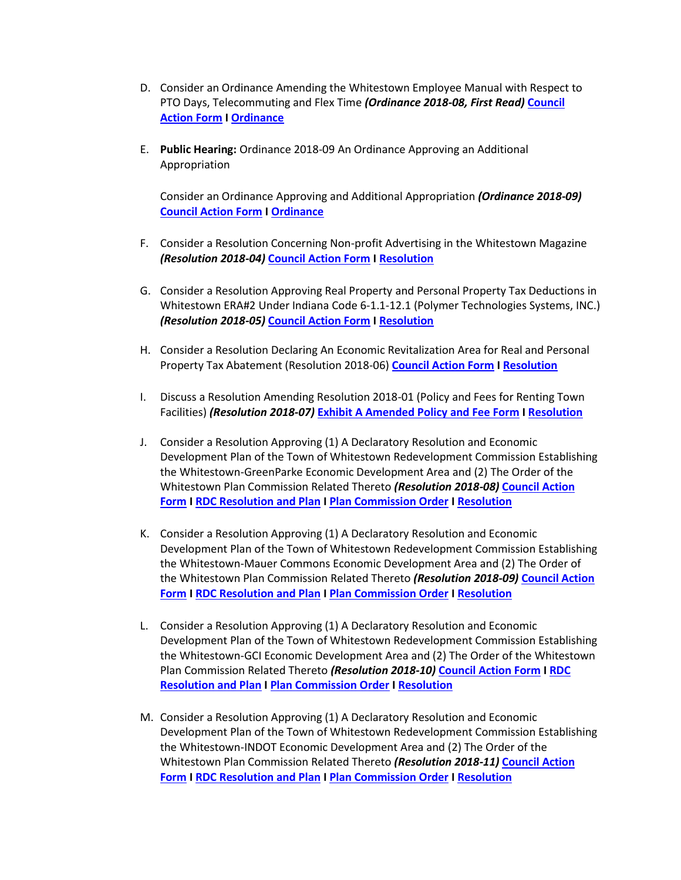- D. Consider an Ordinance Amending the Whitestown Employee Manual with Respect to PTO Days, Telecommuting and Flex Time *(Ordinance 2018-08, First Read)* **[Council](http://whitestown.in.gov/vertical/sites/%7BB8BE8AC3-9DE8-4247-BCB0-1173F48CC7C3%7D/uploads/Council_Action_Form_2-14-18_New_Biz_Item_D_(Ord_2018-08_Amend_Employee_Manual).pdf)  [Action Form](http://whitestown.in.gov/vertical/sites/%7BB8BE8AC3-9DE8-4247-BCB0-1173F48CC7C3%7D/uploads/Council_Action_Form_2-14-18_New_Biz_Item_D_(Ord_2018-08_Amend_Employee_Manual).pdf) I [Ordinance](http://whitestown.in.gov/vertical/sites/%7BB8BE8AC3-9DE8-4247-BCB0-1173F48CC7C3%7D/uploads/Whitestown_Ordinance_2018-08_(Employee_Manual_Amendments_-_PTO_Flex_Time_Telecommunting).pdf)**
- E. **Public Hearing:** Ordinance 2018-09 An Ordinance Approving an Additional Appropriation

Consider an Ordinance Approving and Additional Appropriation *(Ordinance 2018-09)* **[Council Action Form](http://whitestown.in.gov/vertical/sites/%7BB8BE8AC3-9DE8-4247-BCB0-1173F48CC7C3%7D/uploads/Council_Action_Form_2-14-18_New_Biz_Item_E_(Ord_2018-09_Additional_Appropriation).pdf) I [Ordinance](http://whitestown.in.gov/vertical/sites/%7BB8BE8AC3-9DE8-4247-BCB0-1173F48CC7C3%7D/uploads/Whitestown_Ordinance_2018-09_-_Additional_Appropriation_1-_Whitestown.pdf)**

- F. Consider a Resolution Concerning Non-profit Advertising in the Whitestown Magazine *(Resolution 2018-04)* **[Council Action Form](http://whitestown.in.gov/vertical/sites/%7BB8BE8AC3-9DE8-4247-BCB0-1173F48CC7C3%7D/uploads/Council_Action_Form_2-14-18_New_Biz_Item_F_(Res_2018-04_-Magazine_Ad_Policy).pdf) I [Resolution](http://whitestown.in.gov/vertical/sites/%7BB8BE8AC3-9DE8-4247-BCB0-1173F48CC7C3%7D/uploads/Whitestown_Town_Council_Resolution_2018-04_Waiving_Magazine_Fees.pdf)**
- G. Consider a Resolution Approving Real Property and Personal Property Tax Deductions in Whitestown ERA#2 Under Indiana Code 6-1.1-12.1 (Polymer Technologies Systems, INC.) *(Resolution 2018-05)* **[Council Action Form](http://whitestown.in.gov/vertical/sites/%7BB8BE8AC3-9DE8-4247-BCB0-1173F48CC7C3%7D/uploads/Council_Action_Form_2-14-18_New_Biz_Item_G_(Res_2018-05_-Tax_Deduction_Application_PTS).pdf) I [Resolution](http://whitestown.in.gov/vertical/sites/%7BB8BE8AC3-9DE8-4247-BCB0-1173F48CC7C3%7D/uploads/Whitestown_Town_Council_Resolution_2018-05_PTS_Abatement_(Real_and_Personal_Property).pdf)**
- H. Consider a Resolution Declaring An Economic Revitalization Area for Real and Personal Property Tax Abatement (Resolution 2018-06) **[Council Action Form](http://whitestown.in.gov/vertical/sites/%7BB8BE8AC3-9DE8-4247-BCB0-1173F48CC7C3%7D/uploads/Council_Action_Form_2-14-18_New_Biz_Item_H_(Res_2018-06_-_Park_130_ERA).pdf) I [Resolution](http://whitestown.in.gov/vertical/sites/%7BB8BE8AC3-9DE8-4247-BCB0-1173F48CC7C3%7D/uploads/Whitestown_Town_Council_Resolution_2018-06_Establishing_ERA_(Abatement)_-_Park_130.pdf)**
- I. Discuss a Resolution Amending Resolution 2018-01 (Policy and Fees for Renting Town Facilities) *(Resolution 2018-07)* **[Exhibit A Amended Policy and Fee Form](http://whitestown.in.gov/vertical/sites/%7BB8BE8AC3-9DE8-4247-BCB0-1173F48CC7C3%7D/uploads/Rent_The_Community_Recreation_(Proposed_Revisions_-_2-12-2018).pdf) I [Resolution](http://whitestown.in.gov/vertical/sites/%7BB8BE8AC3-9DE8-4247-BCB0-1173F48CC7C3%7D/uploads/Whitestown_Resolution_2018-07.pdf)**
- J. Consider a Resolution Approving (1) A Declaratory Resolution and Economic Development Plan of the Town of Whitestown Redevelopment Commission Establishing the Whitestown-GreenParke Economic Development Area and (2) The Order of the Whitestown Plan Commission Related Thereto *(Resolution 2018-08)* **[Council Action](http://whitestown.in.gov/vertical/sites/%7BB8BE8AC3-9DE8-4247-BCB0-1173F48CC7C3%7D/uploads/Council_Action_Form_2-14-18_New_Biz_Item_J_(Resolution_2018-08_Park_130_EDA-Allocation_Area).pdf)  [Form](http://whitestown.in.gov/vertical/sites/%7BB8BE8AC3-9DE8-4247-BCB0-1173F48CC7C3%7D/uploads/Council_Action_Form_2-14-18_New_Biz_Item_J_(Resolution_2018-08_Park_130_EDA-Allocation_Area).pdf) [I RDC Resolution and Plan](http://whitestown.in.gov/vertical/sites/%7BB8BE8AC3-9DE8-4247-BCB0-1173F48CC7C3%7D/uploads/Whitestown_RDC_Resolution_2018-03_GreenParke_TIF_(2).pdf) I [Plan Commission Order](http://whitestown.in.gov/vertical/sites/%7BB8BE8AC3-9DE8-4247-BCB0-1173F48CC7C3%7D/uploads/Whitestown_GreenParke_TIF_-_order_of_plan_commission.pdf) [I Resolution](http://whitestown.in.gov/vertical/sites/%7BB8BE8AC3-9DE8-4247-BCB0-1173F48CC7C3%7D/uploads/Whitestown_Town_Council_Resolution_2018-08-_GreenParke_TIF.pdf)**
- K. Consider a Resolution Approving (1) A Declaratory Resolution and Economic Development Plan of the Town of Whitestown Redevelopment Commission Establishing the Whitestown-Mauer Commons Economic Development Area and (2) The Order of the Whitestown Plan Commission Related Thereto *(Resolution 2018-09)* **[Council Action](http://whitestown.in.gov/vertical/sites/%7BB8BE8AC3-9DE8-4247-BCB0-1173F48CC7C3%7D/uploads/Council_Action_Form_2-14-18_New_Biz_Item_K_(Resolution_2018-9-_Maurer_Commons_TIF_).pdf)  [Form](http://whitestown.in.gov/vertical/sites/%7BB8BE8AC3-9DE8-4247-BCB0-1173F48CC7C3%7D/uploads/Council_Action_Form_2-14-18_New_Biz_Item_K_(Resolution_2018-9-_Maurer_Commons_TIF_).pdf) [I RDC Resolution and Plan](http://whitestown.in.gov/vertical/sites/%7BB8BE8AC3-9DE8-4247-BCB0-1173F48CC7C3%7D/uploads/Whitestown_RDC_Resolution_2018-01_Mauer_Commons_TIF_-_Declaratory_Resolution_(2).pdf) I [Plan Commission Order](http://whitestown.in.gov/vertical/sites/%7BB8BE8AC3-9DE8-4247-BCB0-1173F48CC7C3%7D/uploads/Whitestown_Mauer_Commons_TIF_-_order_of_plan_commission.pdf) [I Resolution](http://whitestown.in.gov/vertical/sites/%7BB8BE8AC3-9DE8-4247-BCB0-1173F48CC7C3%7D/uploads/Whitestown_Town_Council_Resolution_2018-09_-_Mauer_Commons_TIF.pdf)**
- L. Consider a Resolution Approving (1) A Declaratory Resolution and Economic Development Plan of the Town of Whitestown Redevelopment Commission Establishing the Whitestown-GCI Economic Development Area and (2) The Order of the Whitestown Plan Commission Related Thereto *(Resolution 2018-10)* **[Council Action Form](http://whitestown.in.gov/vertical/sites/%7BB8BE8AC3-9DE8-4247-BCB0-1173F48CC7C3%7D/uploads/Council_Action_Form_2-14-18_New_Biz_Item_L_(Resolution_2018-10_-_GCI_TIF_).pdf) I [RDC](http://whitestown.in.gov/vertical/sites/%7BB8BE8AC3-9DE8-4247-BCB0-1173F48CC7C3%7D/uploads/Whitestown_RDC_Resolution_2018-04-_GCI_TIF.pdf)  [Resolution and Plan](http://whitestown.in.gov/vertical/sites/%7BB8BE8AC3-9DE8-4247-BCB0-1173F48CC7C3%7D/uploads/Whitestown_RDC_Resolution_2018-04-_GCI_TIF.pdf) I [Plan Commission Order](http://whitestown.in.gov/vertical/sites/%7BB8BE8AC3-9DE8-4247-BCB0-1173F48CC7C3%7D/uploads/Whitestown_GCI_TIF_-_order_of_plan_commission.pdf) I [Resolution](http://whitestown.in.gov/vertical/sites/%7BB8BE8AC3-9DE8-4247-BCB0-1173F48CC7C3%7D/uploads/Whitestown_Town_Council_Resolution_2018-10_GCI_TIF.pdf)**
- M. Consider a Resolution Approving (1) A Declaratory Resolution and Economic Development Plan of the Town of Whitestown Redevelopment Commission Establishing the Whitestown-INDOT Economic Development Area and (2) The Order of the Whitestown Plan Commission Related Thereto *(Resolution 2018-11)* **[Council Action](http://whitestown.in.gov/vertical/sites/%7BB8BE8AC3-9DE8-4247-BCB0-1173F48CC7C3%7D/uploads/Council_Action_Form_2-14-18_New_Biz_Item_M_(Resolution_2018-11_-_INDOT_TIF).pdf)  [Form](http://whitestown.in.gov/vertical/sites/%7BB8BE8AC3-9DE8-4247-BCB0-1173F48CC7C3%7D/uploads/Council_Action_Form_2-14-18_New_Biz_Item_M_(Resolution_2018-11_-_INDOT_TIF).pdf) [I RDC Resolution](http://whitestown.in.gov/vertical/sites/%7BB8BE8AC3-9DE8-4247-BCB0-1173F48CC7C3%7D/uploads/Whitestown_RDC_Resolution_2018-02_-_INDOT_TIF.pdf) and Plan I [Plan Commission Order](http://whitestown.in.gov/vertical/sites/%7BB8BE8AC3-9DE8-4247-BCB0-1173F48CC7C3%7D/uploads/Whitestown_INDOT_TIF_-_order_of_plan_commission.pdf) [I Resolution](http://whitestown.in.gov/vertical/sites/%7BB8BE8AC3-9DE8-4247-BCB0-1173F48CC7C3%7D/uploads/Whitestown_Town_Council_Resolution_2018-11_INDOT_TIF.pdf)**